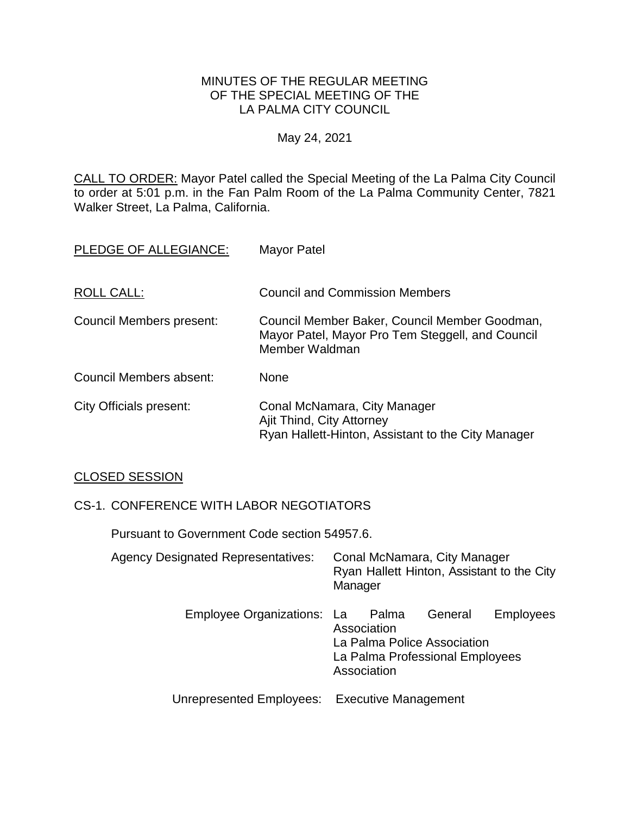#### MINUTES OF THE REGULAR MEETING OF THE SPECIAL MEETING OF THE LA PALMA CITY COUNCIL

# May 24, 2021

CALL TO ORDER: Mayor Patel called the Special Meeting of the La Palma City Council to order at 5:01 p.m. in the Fan Palm Room of the La Palma Community Center, 7821 Walker Street, La Palma, California.

| PLEDGE OF ALLEGIANCE:    | <b>Mayor Patel</b>                                                                                                  |
|--------------------------|---------------------------------------------------------------------------------------------------------------------|
| ROLL CALL:               | <b>Council and Commission Members</b>                                                                               |
| Council Members present: | Council Member Baker, Council Member Goodman,<br>Mayor Patel, Mayor Pro Tem Steggell, and Council<br>Member Waldman |
| Council Members absent:  | <b>None</b>                                                                                                         |
| City Officials present:  | Conal McNamara, City Manager<br>Ajit Thind, City Attorney<br>Ryan Hallett-Hinton, Assistant to the City Manager     |

# CLOSED SESSION

# CS-1. CONFERENCE WITH LABOR NEGOTIATORS

Pursuant to Government Code section 54957.6.

| <b>Agency Designated Representatives:</b>     | Conal McNamara, City Manager<br>Ryan Hallett Hinton, Assistant to the City<br>Manager                                       |
|-----------------------------------------------|-----------------------------------------------------------------------------------------------------------------------------|
| Employee Organizations: La Palma              | General<br><b>Employees</b><br>Association<br>La Palma Police Association<br>La Palma Professional Employees<br>Association |
| Unrepresented Employees: Executive Management |                                                                                                                             |